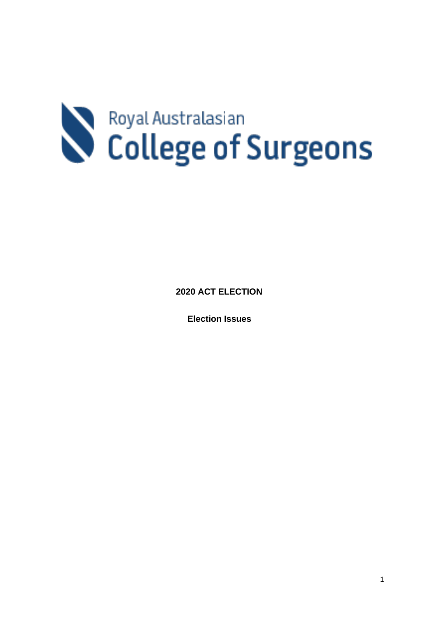# Royal Australasian

**2020 ACT ELECTION** 

**Election Issues**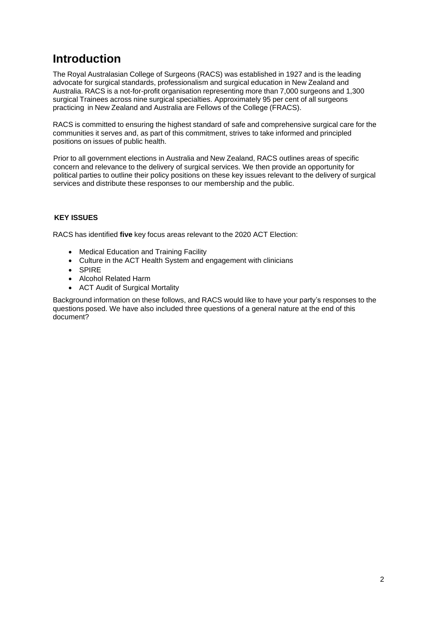## **Introduction**

The Royal Australasian College of Surgeons (RACS) was established in 1927 and is the leading advocate for surgical standards, professionalism and surgical education in New Zealand and Australia. RACS is a not-for-profit organisation representing more than 7,000 surgeons and 1,300 surgical Trainees across nine surgical specialties. Approximately 95 per cent of all surgeons practicing in New Zealand and Australia are Fellows of the College (FRACS).

RACS is committed to ensuring the highest standard of safe and comprehensive surgical care for the communities it serves and, as part of this commitment, strives to take informed and principled positions on issues of public health.

Prior to all government elections in Australia and New Zealand, RACS outlines areas of specific concern and relevance to the delivery of surgical services. We then provide an opportunity for political parties to outline their policy positions on these key issues relevant to the delivery of surgical services and distribute these responses to our membership and the public.

#### **KEY ISSUES**

RACS has identified **five** key focus areas relevant to the 2020 ACT Election:

- Medical Education and Training Facility
- Culture in the ACT Health System and engagement with clinicians
- SPIRE
- Alcohol Related Harm
- ACT Audit of Surgical Mortality

Background information on these follows, and RACS would like to have your party's responses to the questions posed. We have also included three questions of a general nature at the end of this document?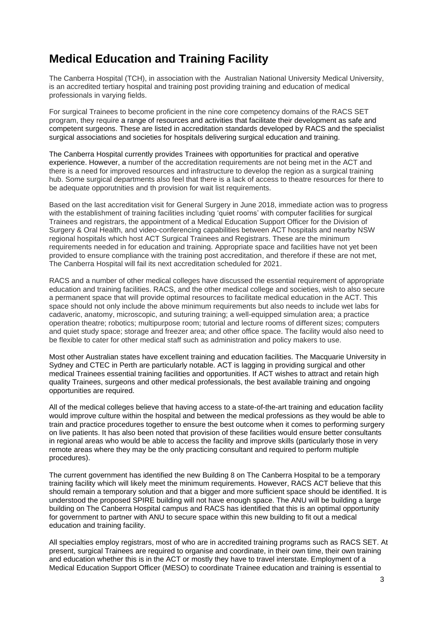## **Medical Education and Training Facility**

The Canberra Hospital (TCH), in association with the Australian National University Medical University, is an accredited tertiary hospital and training post providing training and education of medical professionals in varying fields.

For surgical Trainees to become proficient in the nine core competency domains of the RACS SET program, they require a range of resources and activities that facilitate their development as safe and competent surgeons. These are listed in accreditation standards developed by RACS and the specialist surgical associations and societies for hospitals delivering surgical education and training.

The Canberra Hospital currently provides Trainees with opportunities for practical and operative experience. However, a number of the accreditation requirements are not being met in the ACT and there is a need for improved resources and infrastructure to develop the region as a surgical training hub. Some surgical departments also feel that there is a lack of access to theatre resources for there to be adequate opporutnities and th provision for wait list requirements.

Based on the last accreditation visit for General Surgery in June 2018, immediate action was to progress with the establishment of training facilities including 'quiet rooms' with computer facilities for surgical Trainees and registrars, the appointment of a Medical Education Support Officer for the Division of Surgery & Oral Health, and video-conferencing capabilities between ACT hospitals and nearby NSW regional hospitals which host ACT Surgical Trainees and Registrars. These are the minimum requirements needed in for education and training. Appropriate space and facilities have not yet been provided to ensure compliance with the training post accreditation, and therefore if these are not met, The Canberra Hospital will fail its next accreditation scheduled for 2021.

RACS and a number of other medical colleges have discussed the essential requirement of appropriate education and training facilities. RACS, and the other medical college and societies, wish to also secure a permanent space that will provide optimal resources to facilitate medical education in the ACT. This space should not only include the above minimum requirements but also needs to include wet labs for cadaveric, anatomy, microscopic, and suturing training; a well-equipped simulation area; a practice operation theatre; robotics; multipurpose room; tutorial and lecture rooms of different sizes; computers and quiet study space; storage and freezer area; and other office space. The facility would also need to be flexible to cater for other medical staff such as administration and policy makers to use.

Most other Australian states have excellent training and education facilities. The Macquarie University in Sydney and CTEC in Perth are particularly notable. ACT is lagging in providing surgical and other medical Trainees essential training facilities and opportunities. If ACT wishes to attract and retain high quality Trainees, surgeons and other medical professionals, the best available training and ongoing opportunities are required.

All of the medical colleges believe that having access to a state-of-the-art training and education facility would improve culture within the hospital and between the medical professions as they would be able to train and practice procedures together to ensure the best outcome when it comes to performing surgery on live patients. It has also been noted that provision of these facilities would ensure better consultants in regional areas who would be able to access the facility and improve skills (particularly those in very remote areas where they may be the only practicing consultant and required to perform multiple procedures).

The current government has identified the new Building 8 on The Canberra Hospital to be a temporary training facility which will likely meet the minimum requirements. However, RACS ACT believe that this should remain a temporary solution and that a bigger and more sufficient space should be identified. It is understood the proposed SPIRE building will not have enough space. The ANU will be building a large building on The Canberra Hospital campus and RACS has identified that this is an optimal opportunity for government to partner with ANU to secure space within this new building to fit out a medical education and training facility.

All specialties employ registrars, most of who are in accredited training programs such as RACS SET. At present, surgical Trainees are required to organise and coordinate, in their own time, their own training and education whether this is in the ACT or mostly they have to travel interstate. Employment of a Medical Education Support Officer (MESO) to coordinate Trainee education and training is essential to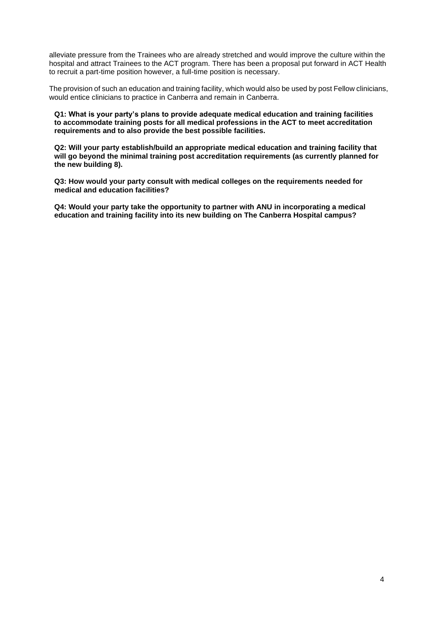alleviate pressure from the Trainees who are already stretched and would improve the culture within the hospital and attract Trainees to the ACT program. There has been a proposal put forward in ACT Health to recruit a part-time position however, a full-time position is necessary.

The provision of such an education and training facility, which would also be used by post Fellow clinicians, would entice clinicians to practice in Canberra and remain in Canberra.

**Q1: What is your party's plans to provide adequate medical education and training facilities to accommodate training posts for all medical professions in the ACT to meet accreditation requirements and to also provide the best possible facilities.** 

**Q2: Will your party establish/build an appropriate medical education and training facility that will go beyond the minimal training post accreditation requirements (as currently planned for the new building 8).** 

**Q3: How would your party consult with medical colleges on the requirements needed for medical and education facilities?**

**Q4: Would your party take the opportunity to partner with ANU in incorporating a medical education and training facility into its new building on The Canberra Hospital campus?**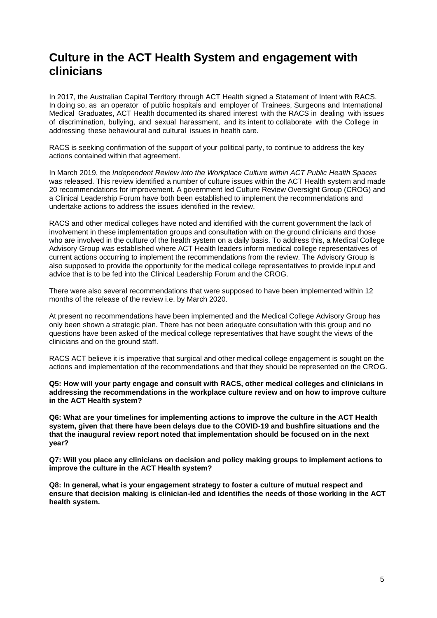## **Culture in the ACT Health System and engagement with clinicians**

In 2017, the Australian Capital Territory through ACT Health signed a Statement of Intent with RACS. In doing so, as an operator of public hospitals and employer of Trainees, Surgeons and International Medical Graduates, ACT Health documented its shared interest with the RACS in dealing with issues of discrimination, bullying, and sexual harassment, and its intent to collaborate with the College in addressing these behavioural and cultural issues in health care.

RACS is seeking confirmation of the support of your political party, to continue to address the key actions contained within that agreement.

In March 2019, the *Independent Review into the Workplace Culture within ACT Public Health Spaces*  was released. This review identified a number of culture issues within the ACT Health system and made 20 recommendations for improvement. A government led Culture Review Oversight Group (CROG) and a Clinical Leadership Forum have both been established to implement the recommendations and undertake actions to address the issues identified in the review.

RACS and other medical colleges have noted and identified with the current government the lack of involvement in these implementation groups and consultation with on the ground clinicians and those who are involved in the culture of the health system on a daily basis. To address this, a Medical College Advisory Group was established where ACT Health leaders inform medical college representatives of current actions occurring to implement the recommendations from the review. The Advisory Group is also supposed to provide the opportunity for the medical college representatives to provide input and advice that is to be fed into the Clinical Leadership Forum and the CROG.

There were also several recommendations that were supposed to have been implemented within 12 months of the release of the review i.e. by March 2020.

At present no recommendations have been implemented and the Medical College Advisory Group has only been shown a strategic plan. There has not been adequate consultation with this group and no questions have been asked of the medical college representatives that have sought the views of the clinicians and on the ground staff.

RACS ACT believe it is imperative that surgical and other medical college engagement is sought on the actions and implementation of the recommendations and that they should be represented on the CROG.

**Q5: How will your party engage and consult with RACS, other medical colleges and clinicians in addressing the recommendations in the workplace culture review and on how to improve culture in the ACT Health system?**

**Q6: What are your timelines for implementing actions to improve the culture in the ACT Health system, given that there have been delays due to the COVID-19 and bushfire situations and the that the inaugural review report noted that implementation should be focused on in the next year?**

**Q7: Will you place any clinicians on decision and policy making groups to implement actions to improve the culture in the ACT Health system?**

**Q8: In general, what is your engagement strategy to foster a culture of mutual respect and ensure that decision making is clinician-led and identifies the needs of those working in the ACT health system.**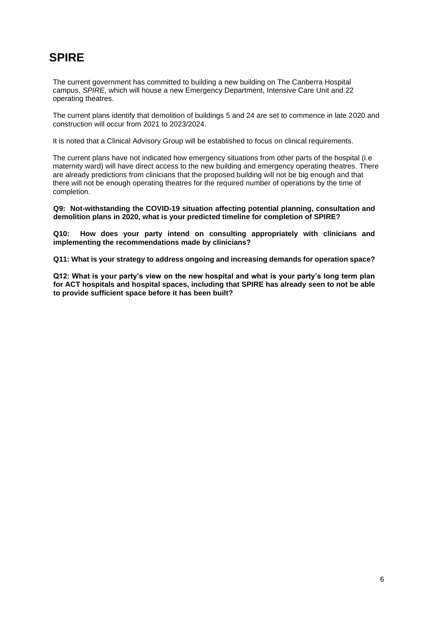## **SPIRE**

The current government has committed to building a new building on The Canberra Hospital campus, *SPIRE,* which will house a new Emergency Department, Intensive Care Unit and 22 operating theatres.

The current plans identify that demolition of buildings 5 and 24 are set to commence in late 2020 and construction will occur from 2021 to 2023/2024.

It is noted that a Clinical Advisory Group will be established to focus on clinical requirements.

The current plans have not indicated how emergency situations from other parts of the hospital (i.e maternity ward) will have direct access to the new building and emergency operating theatres. There are already predictions from clinicians that the proposed building will not be big enough and that there will not be enough operating theatres for the required number of operations by the time of completion.

**Q9: Not-withstanding the COVID-19 situation affecting potential planning, consultation and demolition plans in 2020, what is your predicted timeline for completion of SPIRE?** 

**Q10: How does your party intend on consulting appropriately with clinicians and implementing the recommendations made by clinicians?**

**Q11: What is your strategy to address ongoing and increasing demands for operation space?**

**Q12: What is your party's view on the new hospital and what is your party's long term plan for ACT hospitals and hospital spaces, including that SPIRE has already seen to not be able to provide sufficient space before it has been built?**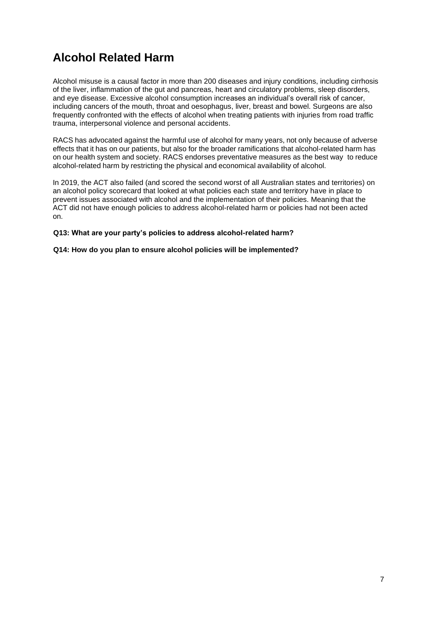# **Alcohol Related Harm**

Alcohol misuse is a causal factor in more than 200 diseases and injury conditions, including cirrhosis of the liver, inflammation of the gut and pancreas, heart and circulatory problems, sleep disorders, and eye disease. Excessive alcohol consumption increases an individual's overall risk of cancer, including cancers of the mouth, throat and oesophagus, liver, breast and bowel. Surgeons are also frequently confronted with the effects of alcohol when treating patients with injuries from road traffic trauma, interpersonal violence and personal accidents.

RACS has advocated against the harmful use of alcohol for many years, not only because of adverse effects that it has on our patients, but also for the broader ramifications that alcohol-related harm has on our health system and society. RACS endorses preventative measures as the best way to reduce alcohol-related harm by restricting the physical and economical availability of alcohol.

In 2019, the ACT also failed (and scored the second worst of all Australian states and territories) on an alcohol policy scorecard that looked at what policies each state and territory have in place to prevent issues associated with alcohol and the implementation of their policies. Meaning that the ACT did not have enough policies to address alcohol-related harm or policies had not been acted on.

#### **Q13: What are your party's policies to address alcohol-related harm?**

**Q14: How do you plan to ensure alcohol policies will be implemented?**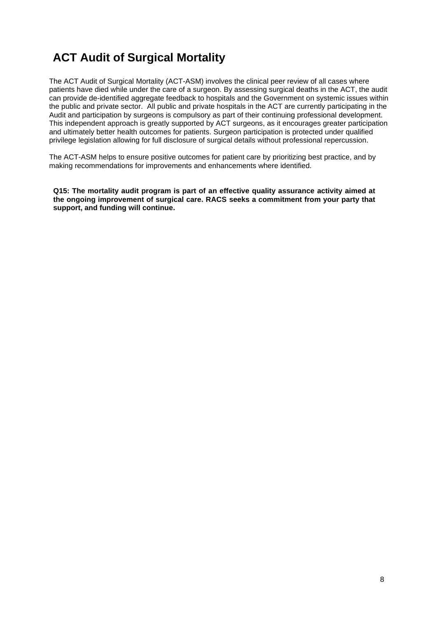# **ACT Audit of Surgical Mortality**

The ACT Audit of Surgical Mortality (ACT-ASM) involves the clinical peer review of all cases where patients have died while under the care of a surgeon. By assessing surgical deaths in the ACT, the audit can provide de-identified aggregate feedback to hospitals and the Government on systemic issues within the public and private sector. All public and private hospitals in the ACT are currently participating in the Audit and participation by surgeons is compulsory as part of their continuing professional development. This independent approach is greatly supported by ACT surgeons, as it encourages greater participation and ultimately better health outcomes for patients. Surgeon participation is protected under qualified privilege legislation allowing for full disclosure of surgical details without professional repercussion.

The ACT-ASM helps to ensure positive outcomes for patient care by prioritizing best practice, and by making recommendations for improvements and enhancements where identified.

**Q15: The mortality audit program is part of an effective quality assurance activity aimed at the ongoing improvement of surgical care. RACS seeks a commitment from your party that support, and funding will continue.**